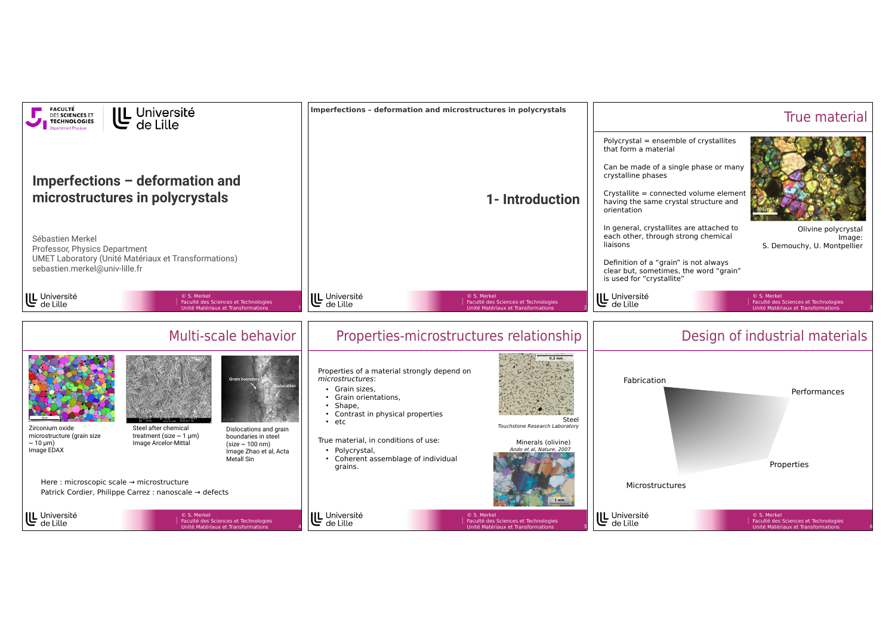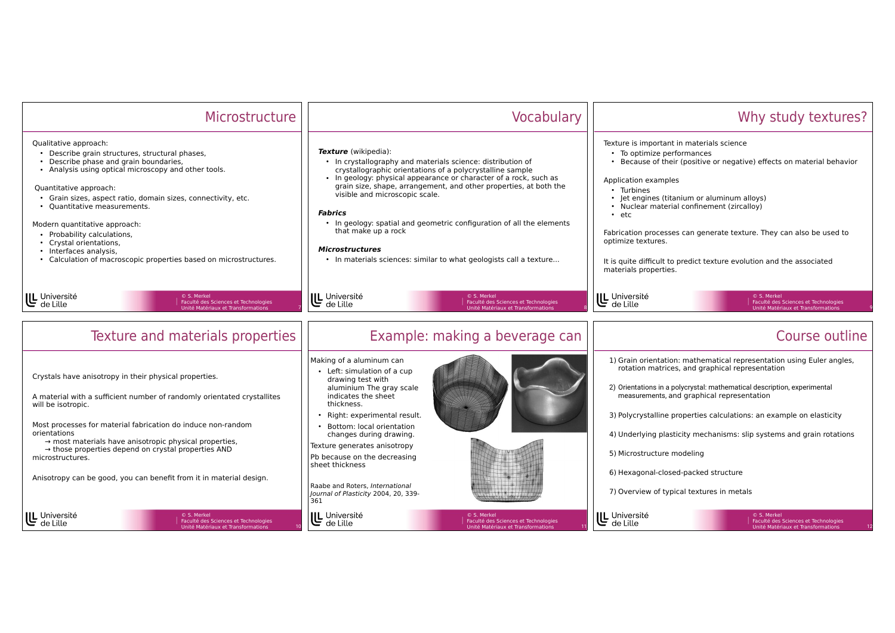| Microstructure                                                                                                                                                                                                                                                                                                                                                                                                                                                                                  | Vocabulary                                                                                                                                                                                                                                                                                                                                                                                                                                                                                                                                            | Why study textures?                                                                                                                                                                                                                                                                                                                                                                                                                                                                                                    |
|-------------------------------------------------------------------------------------------------------------------------------------------------------------------------------------------------------------------------------------------------------------------------------------------------------------------------------------------------------------------------------------------------------------------------------------------------------------------------------------------------|-------------------------------------------------------------------------------------------------------------------------------------------------------------------------------------------------------------------------------------------------------------------------------------------------------------------------------------------------------------------------------------------------------------------------------------------------------------------------------------------------------------------------------------------------------|------------------------------------------------------------------------------------------------------------------------------------------------------------------------------------------------------------------------------------------------------------------------------------------------------------------------------------------------------------------------------------------------------------------------------------------------------------------------------------------------------------------------|
| Qualitative approach:<br>• Describe grain structures, structural phases,<br>• Describe phase and grain boundaries,<br>• Analysis using optical microscopy and other tools.<br>Quantitative approach:<br>• Grain sizes, aspect ratio, domain sizes, connectivity, etc.<br>• Quantitative measurements.<br>Modern quantitative approach:<br>• Probability calculations,<br>• Crystal orientations,<br>• Interfaces analysis,<br>• Calculation of macroscopic properties based on microstructures. | <b>Texture</b> (wikipedia):<br>• In crystallography and materials science: distribution of<br>crystallographic orientations of a polycrystalline sample<br>• In geology: physical appearance or character of a rock, such as<br>grain size, shape, arrangement, and other properties, at both the<br>visible and microscopic scale.<br><b>Fabrics</b><br>• In geology: spatial and geometric configuration of all the elements<br>that make up a rock<br><b>Microstructures</b><br>• In materials sciences: similar to what geologists call a texture | Texture is important in materials science<br>• To optimize performances<br>• Because of their (positive or negative) effects on material behavior<br>Application examples<br>• Turbines<br>• Jet engines (titanium or aluminum alloys)<br>• Nuclear material confinement (zircalloy)<br>$\cdot$ etc.<br>Fabrication processes can generate texture. They can also be used to<br>optimize textures.<br>It is quite difficult to predict texture evolution and the associated<br>materials properties.                   |
| U Université<br>© S. Merkel<br>Faculté des Sciences et Technologies<br>Unité Matériaux et Transformations                                                                                                                                                                                                                                                                                                                                                                                       | U Université<br>Faculté des Sciences et Technologies<br>Unité Matériaux et Transformations                                                                                                                                                                                                                                                                                                                                                                                                                                                            | UL Université<br>de Lille<br>© S. Merkel<br>Faculté des Sciences et Technologies<br>Unité Matériaux et Transformations                                                                                                                                                                                                                                                                                                                                                                                                 |
| Texture and materials properties                                                                                                                                                                                                                                                                                                                                                                                                                                                                | Example: making a beverage can                                                                                                                                                                                                                                                                                                                                                                                                                                                                                                                        | Course outline                                                                                                                                                                                                                                                                                                                                                                                                                                                                                                         |
| Crystals have anisotropy in their physical properties.<br>A material with a sufficient number of randomly orientated crystallites<br>will be isotropic.<br>Most processes for material fabrication do induce non-random<br>orientations<br>$\rightarrow$ most materials have anisotropic physical properties,<br>$\rightarrow$ those properties depend on crystal properties AND<br>microstructures.<br>Anisotropy can be good, you can benefit from it in material design.                     | Making of a aluminum can<br>• Left: simulation of a cup<br>drawing test with<br>aluminium The gray scale<br>indicates the sheet<br>thickness.<br>· Right: experimental result.<br>• Bottom: local orientation<br>changes during drawing.<br>Texture generates anisotropy<br>Pb because on the decreasing<br>sheet thickness<br>Raabe and Roters, International<br>Journal of Plasticity 2004, 20, 339-<br>361                                                                                                                                         | 1) Grain orientation: mathematical representation using Euler angles,<br>rotation matrices, and graphical representation<br>2) Orientations in a polycrystal: mathematical description, experimental<br>measurements, and graphical representation<br>3) Polycrystalline properties calculations: an example on elasticity<br>4) Underlying plasticity mechanisms: slip systems and grain rotations<br>5) Microstructure modeling<br>6) Hexagonal-closed-packed structure<br>7) Overview of typical textures in metals |
| U Université<br>de Lille<br>C S Merkel<br>Faculté des Sciences et Technologies<br>Unité Matériaux et Transformations                                                                                                                                                                                                                                                                                                                                                                            | U Université<br>de Lille<br>© S. Merkel<br>Faculté des Sciences et Technologies<br>de Lille<br>Unité Matériaux et Transformations                                                                                                                                                                                                                                                                                                                                                                                                                     | UL Université<br>de Lille<br>© S. Merkel<br>Faculté des Sciences et Technologies<br>Unité Matériaux et Transformations                                                                                                                                                                                                                                                                                                                                                                                                 |